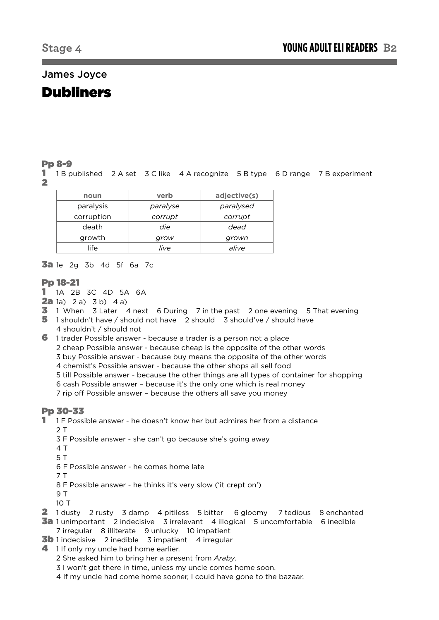# James Joyce

# Dubliners

## Pp 8-9

1 1 B published 2 A set 3 C like 4 A recognize 5 B type 6 D range 7 B experiment 2

| noun       | verb     | adjective(s) |  |
|------------|----------|--------------|--|
| paralysis  | paralyse | paralysed    |  |
| corruption | corrupt  | corrupt      |  |
| death      | die      | dead         |  |
| growth     | grow     | grown        |  |
| life       | live     | alive        |  |

**3a** 1e 2g 3b 4d 5f 6a 7c

## Pp 18-21

- 1 1A 2B 3C 4D 5A 6A
- **2a** 1a) 2 a) 3 b) 4 a)
- 3 1 When 3 Later 4 next 6 During 7 in the past 2 one evening 5 That evening
- 5 1 shouldn't have / should not have 2 should 3 should've / should have
- 4 shouldn't / should not
- 6 1 trader Possible answer because a trader is a person not a place 2 cheap Possible answer - because cheap is the opposite of the other words 3 buy Possible answer - because buy means the opposite of the other words 4 chemist's Possible answer - because the other shops all sell food 5 till Possible answer - because the other things are all types of container for shopping 6 cash Possible answer – because it's the only one which is real money 7 rip off Possible answer – because the others all save you money

## Pp 30-33

- 1 1 F Possible answer he doesn't know her but admires her from a distance 2 T
	- 3 F Possible answer she can't go because she's going away
	- 4 T
	- 5 T
	- 6 F Possible answer he comes home late
	- 7 T
	- 8 F Possible answer he thinks it's very slow ('it crept on')
	- 9 T
	- 10 T
- 2 1 dusty 2 rusty 3 damp 4 pitiless 5 bitter 6 gloomy 7 tedious 8 enchanted
- 3a 1 unimportant 2 indecisive 3 irrelevant 4 illogical 5 uncomfortable 6 inedible 7 irregular 8 illiterate 9 unlucky 10 impatient
- $\overline{3}$ b 1 indecisive 2 inedible 3 impatient 4 irregular
- 4 1 If only my uncle had home earlier.
	- 2 She asked him to bring her a present from *Araby*.
	- 3 I won't get there in time, unless my uncle comes home soon.
	- 4 If my uncle had come home sooner, I could have gone to the bazaar.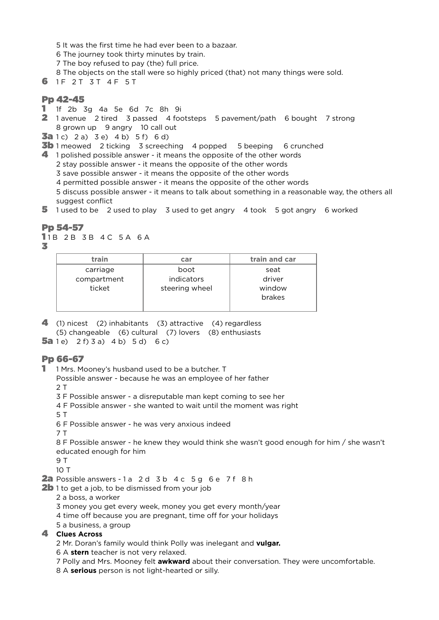- 5 It was the first time he had ever been to a bazaar.
- 6 The journey took thirty minutes by train.
- 7 The boy refused to pay (the) full price.
- 8 The objects on the stall were so highly priced (that) not many things were sold.
- 6 1F 2T 3T 4F 5T

## Pp 42-45

- 1 1f 2b 3g 4a 5e 6d 7c 8h 9i
- 2 1 avenue 2 tired 3 passed 4 footsteps 5 pavement/path 6 bought 7 strong 8 grown up 9 angry 10 call out
- **3a** 1c) 2 a) 3 e) 4 b) 5 f) 6 d)

**3b** 1 meowed 2 ticking 3 screeching 4 popped 5 beeping 6 crunched

- 4 1 polished possible answer it means the opposite of the other words
	- 2 stay possible answer it means the opposite of the other words
	- 3 save possible answer it means the opposite of the other words
	- 4 permitted possible answer it means the opposite of the other words
	- 5 discuss possible answer it means to talk about something in a reasonable way, the others all suggest conflict
- 5 1 used to be 2 used to play 3 used to get angry 4 took 5 got angry 6 worked

## Pp 54-57

11 B 2 B 3 B 4 C 5 A 6 A

3

| train       | car            | train and car |
|-------------|----------------|---------------|
| carriage    | boot           | seat          |
| compartment | indicators     | driver        |
| ticket      | steering wheel | window        |
|             |                | brakes        |
|             |                |               |

4 (1) nicest (2) inhabitants (3) attractive (4) regardless (5) changeable (6) cultural (7) lovers (8) enthusiasts **5a** 1e) 2 f) 3 a) 4 b) 5 d) 6 c)

## Pp 66-67

- 1 1 Mrs. Mooney's husband used to be a butcher. T
	- Possible answer because he was an employee of her father  $2T$
	- 3 F Possible answer a disreputable man kept coming to see her
	- 4 F Possible answer she wanted to wait until the moment was right
	- 5 T

6 F Possible answer - he was very anxious indeed

7 T

8 F Possible answer - he knew they would think she wasn't good enough for him / she wasn't educated enough for him

9 T

10 T

2a Possible answers - 1 a 2 d 3 b 4 c 5 g 6 e 7 f 8 h

- **2b** 1 to get a job, to be dismissed from your job
	- 2 a boss, a worker
	- 3 money you get every week, money you get every month/year
	- 4 time off because you are pregnant, time off for your holidays
	- 5 a business, a group

## 4 **Clues Across**

2 Mr. Doran's family would think Polly was inelegant and **vulgar.**

- 6 A **stern** teacher is not very relaxed.
- 7 Polly and Mrs. Mooney felt **awkward** about their conversation. They were uncomfortable.
- 8 A **serious** person is not light-hearted or silly.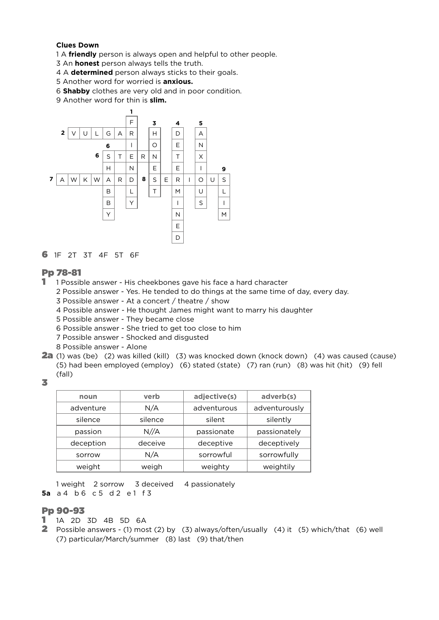#### **Clues Down**

1 A **friendly** person is always open and helpful to other people.

- 3 An **honest** person always tells the truth.
- 4 A **determined** person always sticks to their goals.
- 5 Another word for worried is **anxious.**
- 6 **Shabby** clothes are very old and in poor condition.
- 9 Another word for thin is **slim.**



61F 2T 3T 4F 5T 6F

## Pp 78-81

- 1 1 Possible answer His cheekbones gave his face a hard character
	- 2 Possible answer Yes. He tended to do things at the same time of day, every day.
		- 3 Possible answer At a concert / theatre / show
		- 4 Possible answer He thought James might want to marry his daughter
		- 5 Possible answer They became close
		- 6 Possible answer She tried to get too close to him
		- 7 Possible answer Shocked and disgusted
	- 8 Possible answer Alone
- 2a (1) was (be) (2) was killed (kill) (3) was knocked down (knock down) (4) was caused (cause) (5) had been employed (employ) (6) stated (state) (7) ran (run) (8) was hit (hit) (9) fell (fall)
- 3

| noun      | verb    | adjective(s) | adverb(s)     |  |
|-----------|---------|--------------|---------------|--|
| adventure | N/A     | adventurous  | adventurously |  |
| silence   | silence | silent       | silently      |  |
| passion   | N//A    | passionate   | passionately  |  |
| deception | deceive | deceptive    | deceptively   |  |
| sorrow    | N/A     | sorrowful    | sorrowfully   |  |
| weight    | weigh   | weighty      | weightily     |  |

1 weight 2 sorrow 3 deceived 4 passionately **5a** a 4 b 6 c 5 d 2 e 1 f 3

## Pp 90-93

- 1 1A 2D 3D 4B 5D 6A
- 2 Possible answers (1) most (2) by (3) always/often/usually (4) it (5) which/that (6) well (7) particular/March/summer (8) last (9) that/then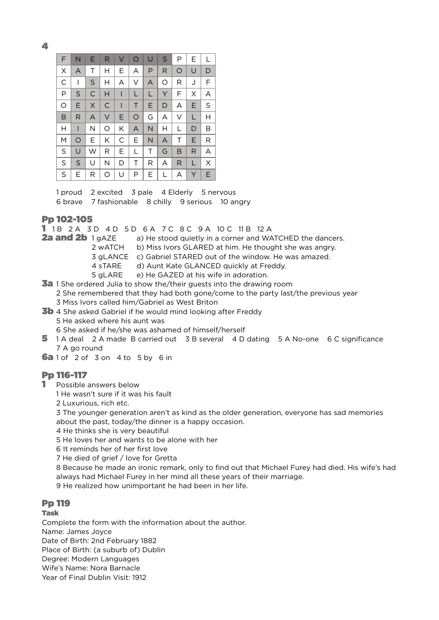4

| F | N  | Е  | R            | V            | $\circ$ | $\cup$ | S | Ρ       | Е | $\mathbf{L}$ |
|---|----|----|--------------|--------------|---------|--------|---|---------|---|--------------|
| X | A  | Τ  | H            | Ε            | A       | P      | R | $\circ$ | U | D            |
| C | I  | S  | H            | Α            | V       | A      | O | R       | J | F            |
| P | S  | C  | H            | Т            | L       | L      | Υ | F       | X | Α            |
| O | E  | X  | $\mathsf{C}$ | $\mathsf{l}$ | $\top$  | E.     | D | A       | Е | S            |
| B | R  | A  | V            | E            | $\circ$ | G      | Α | V       | L | H            |
| Н | I  | Ν  | O            | Κ            | A       | N      | н | L       | D | В            |
| M | O  | E. | Κ            | С            | E.      | N      | A | Т       | Е | R            |
| S | U  | W  | R            | Е            | L       | T      | G | B       | R | A            |
| S | S  | U  | N            | D            | Τ       | R      | A | R       | L | X            |
| S | E. | R  | O            | U            | P       | E.     | L | А       | Y | E.           |

1 proud 2 excited 3 pale 4 Elderly 5 nervous 6 brave 7 fashionable 8 chilly 9 serious 10 angry

## Pp 102-105

**1** 1 B 2 A 3 D 4 D 5 D 6 A 7 C 8 C 9 A 10 C 11 B 12 A  $2a$  and  $2b$  1 g A  $ZE$  a) He stood quietly in a corner and WA

a) He stood quietly in a corner and WATCHED the dancers.

2 wATCH b) Miss Ivors GLARED at him. He thought she was angry.

- 3 gLANCE c) Gabriel STARED out of the window. He was amazed.
- 4 sTARE d) Aunt Kate GLANCED quickly at Freddy.

5 gLARE e) He GAZED at his wife in adoration.

3a 1 She ordered Julia to show the/their guests into the drawing room 2 She remembered that they had both gone/come to the party last/the previous year

- 3 Miss Ivors called him/Gabriel as West Briton
- **3b** 4 She asked Gabriel if he would mind looking after Freddy
	- 5 He asked where his aunt was

6 She asked if he/she was ashamed of himself/herself

- 5 1 A deal 2 A made B carried out 3 B several 4 D dating 5 A No-one 6 C significance 7 A go round
- **6a** 1 of 2 of 3 on 4 to 5 by 6 in

## Pp 116-117

**1** Possible answers below

1 He wasn't sure if it was his fault

2 Luxurious, rich etc.

3 The younger generation aren't as kind as the older generation, everyone has sad memories about the past, today/the dinner is a happy occasion.

4 He thinks she is very beautiful

5 He loves her and wants to be alone with her

6 It reminds her of her first love

7 He died of grief / love for Gretta

8 Because he made an ironic remark, only to find out that Michael Furey had died. His wife's had always had Michael Furey in her mind all these years of their marriage.

9 He realized how unimportant he had been in her life.

# Pp 119

Task

Complete the form with the information about the author.

Name: James Joyce

Date of Birth: 2nd February 1882

Place of Birth: (a suburb of) Dublin

Degree: Modern Languages Wife's Name: Nora Barnacle

Year of Final Dublin Visit: 1912